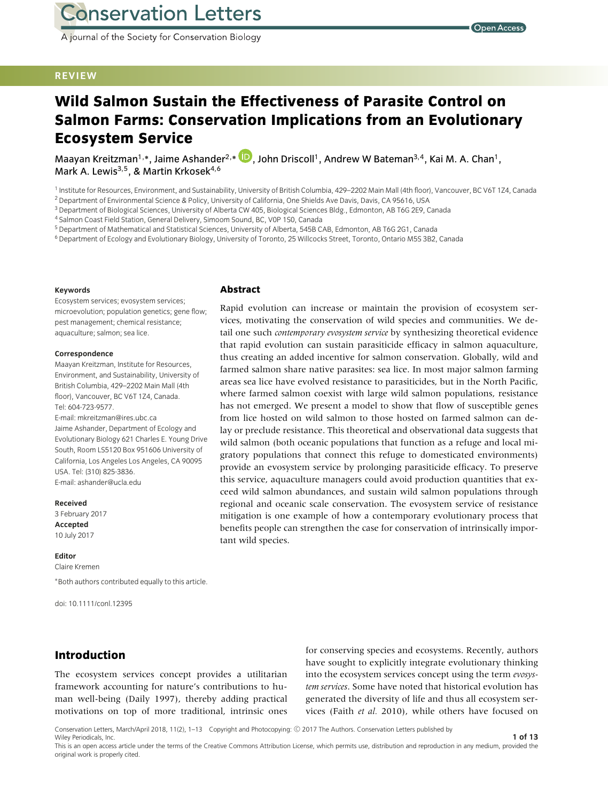A journal of the Society for Conservation Biology

## **REVIEW**

# **Wild Salmon Sustain the Effectiveness of Parasite Control on Salmon Farms: Conservation Implications from an Evolutionary Ecosystem Service**

Maayan Kreitzman<sup>1[,](http://orcid.org/0000-0002-1841-4768)</sup>\*, Jaime Ashander<sup>2,</sup>\* **D**, John Driscoll<sup>1</sup>, Andrew W Bateman<sup>3,4</sup>, Kai M. A. Chan<sup>1</sup>, Mark A. Lewis<sup>3,5</sup>, & Martin Krkosek<sup>4,6</sup>

<sup>1</sup> Institute for Resources, Environment, and Sustainability, University of British Columbia, 429–2202 Main Mall (4th floor), Vancouver, BC V6T 1Z4, Canada <sup>2</sup> Department of Environmental Science & Policy, University of California, One Shields Ave Davis, Davis, CA 95616, USA

<sup>3</sup> Department of Biological Sciences, University of Alberta CW 405, Biological Sciences Bldg., Edmonton, AB T6G 2E9, Canada

<sup>4</sup> Salmon Coast Field Station, General Delivery, Simoom Sound, BC, V0P 1S0, Canada

<sup>5</sup> Department of Mathematical and Statistical Sciences, University of Alberta, 545B CAB, Edmonton, AB T6G 2G1, Canada

<sup>6</sup> Department of Ecology and Evolutionary Biology, University of Toronto, 25 Willcocks Street, Toronto, Ontario M5S 3B2, Canada

#### **Keywords**

Ecosystem services; evosystem services; microevolution; population genetics; gene flow; pest management; chemical resistance; aquaculture; salmon; sea lice.

#### **Correspondence**

Maayan Kreitzman, Institute for Resources, Environment, and Sustainability, University of British Columbia, 429–2202 Main Mall (4th floor), Vancouver, BC V6T 1Z4, Canada. Tel: 604-723-9577.

E-mail: mkreitzman@ires.ubc.ca Jaime Ashander, Department of Ecology and Evolutionary Biology 621 Charles E. Young Drive South, Room LS5120 Box 951606 University of California, Los Angeles Los Angeles, CA 90095 USA. Tel: (310) 825-3836. E-mail: ashander@ucla.edu

**Received**

3 February 2017 **Accepted** 10 July 2017

#### **Editor**

Claire Kremen

∗Both authors contributed equally to this article.

doi: 10.1111/conl.12395

# **Introduction**

The ecosystem services concept provides a utilitarian framework accounting for nature's contributions to human well-being (Daily 1997), thereby adding practical motivations on top of more traditional, intrinsic ones for conserving species and ecosystems. Recently, authors have sought to explicitly integrate evolutionary thinking into the ecosystem services concept using the term *evosystem services*. Some have noted that historical evolution has generated the diversity of life and thus all ecosystem services (Faith *et al.* 2010), while others have focused on

Conservation Letters, March/April 2018, 11(2), 1–13 Copyright and Photocopying: © 2017 The Authors. Conservation Letters published by<br>Wilev Periodicals. Inc. Wiley Periodicals, Inc. **1 of 13**

This is an open access article under the terms of the [Creative Commons Attribution](http://creativecommons.org/licenses/by/4.0/) License, which permits use, distribution and reproduction in any medium, provided the original work is properly cited.

#### **Abstract**

Rapid evolution can increase or maintain the provision of ecosystem services, motivating the conservation of wild species and communities. We detail one such *contemporary evosystem service* by synthesizing theoretical evidence that rapid evolution can sustain parasiticide efficacy in salmon aquaculture, thus creating an added incentive for salmon conservation. Globally, wild and farmed salmon share native parasites: sea lice. In most major salmon farming areas sea lice have evolved resistance to parasiticides, but in the North Pacific, where farmed salmon coexist with large wild salmon populations, resistance has not emerged. We present a model to show that flow of susceptible genes from lice hosted on wild salmon to those hosted on farmed salmon can delay or preclude resistance. This theoretical and observational data suggests that wild salmon (both oceanic populations that function as a refuge and local migratory populations that connect this refuge to domesticated environments) provide an evosystem service by prolonging parasiticide efficacy. To preserve this service, aquaculture managers could avoid production quantities that exceed wild salmon abundances, and sustain wild salmon populations through regional and oceanic scale conservation. The evosystem service of resistance mitigation is one example of how a contemporary evolutionary process that benefits people can strengthen the case for conservation of intrinsically important wild species.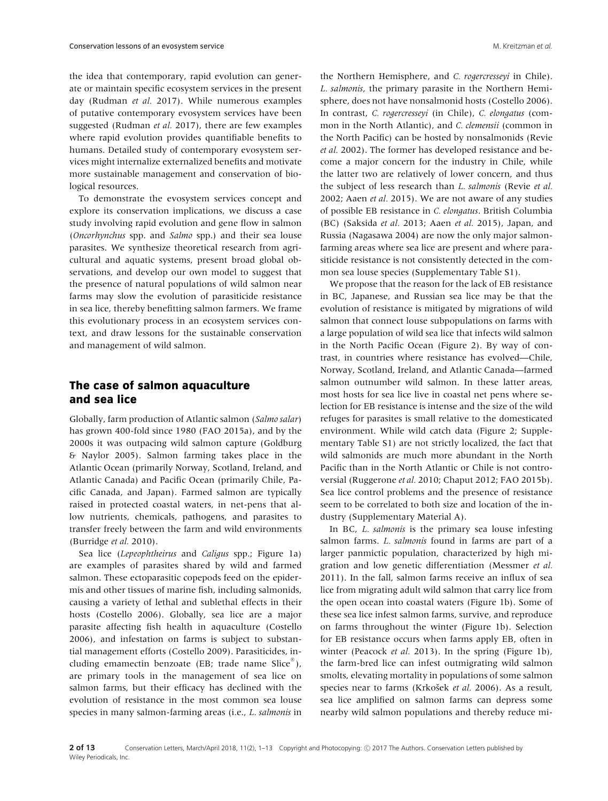the idea that contemporary, rapid evolution can generate or maintain specific ecosystem services in the present day (Rudman *et al.* 2017). While numerous examples of putative contemporary evosystem services have been suggested (Rudman *et al.* 2017), there are few examples where rapid evolution provides quantifiable benefits to humans. Detailed study of contemporary evosystem services might internalize externalized benefits and motivate more sustainable management and conservation of biological resources.

To demonstrate the evosystem services concept and explore its conservation implications, we discuss a case study involving rapid evolution and gene flow in salmon (*Oncorhynchus* spp. and *Salmo* spp.) and their sea louse parasites. We synthesize theoretical research from agricultural and aquatic systems, present broad global observations, and develop our own model to suggest that the presence of natural populations of wild salmon near farms may slow the evolution of parasiticide resistance in sea lice, thereby benefitting salmon farmers. We frame this evolutionary process in an ecosystem services context, and draw lessons for the sustainable conservation and management of wild salmon.

# **The case of salmon aquaculture and sea lice**

Globally, farm production of Atlantic salmon (*Salmo salar*) has grown 400-fold since 1980 (FAO 2015a), and by the 2000s it was outpacing wild salmon capture (Goldburg & Naylor 2005). Salmon farming takes place in the Atlantic Ocean (primarily Norway, Scotland, Ireland, and Atlantic Canada) and Pacific Ocean (primarily Chile, Pacific Canada, and Japan). Farmed salmon are typically raised in protected coastal waters, in net-pens that allow nutrients, chemicals, pathogens, and parasites to transfer freely between the farm and wild environments (Burridge *et al.* 2010).

Sea lice (*Lepeophtheirus* and *Caligus* spp.; Figure 1a) are examples of parasites shared by wild and farmed salmon. These ectoparasitic copepods feed on the epidermis and other tissues of marine fish, including salmonids, causing a variety of lethal and sublethal effects in their hosts (Costello 2006). Globally, sea lice are a major parasite affecting fish health in aquaculture (Costello 2006), and infestation on farms is subject to substantial management efforts (Costello 2009). Parasiticides, including emamectin benzoate (EB; trade name Slice®), are primary tools in the management of sea lice on salmon farms, but their efficacy has declined with the evolution of resistance in the most common sea louse species in many salmon-farming areas (i.e., *L. salmonis* in the Northern Hemisphere, and *C. rogercresseyi* in Chile). *L. salmonis*, the primary parasite in the Northern Hemisphere, does not have nonsalmonid hosts (Costello 2006). In contrast, *C. rogercresseyi* (in Chile), *C. elongatus* (common in the North Atlantic), and *C. clemensii* (common in the North Pacific) can be hosted by nonsalmonids (Revie *et al.* 2002). The former has developed resistance and become a major concern for the industry in Chile, while the latter two are relatively of lower concern, and thus the subject of less research than *L. salmonis* (Revie *et al.* 2002; Aaen *et al.* 2015). We are not aware of any studies of possible EB resistance in *C. elongatus*. British Columbia (BC) (Saksida *et al.* 2013; Aaen *et al.* 2015), Japan, and Russia (Nagasawa 2004) are now the only major salmonfarming areas where sea lice are present and where parasiticide resistance is not consistently detected in the common sea louse species (Supplementary Table S1).

We propose that the reason for the lack of EB resistance in BC, Japanese, and Russian sea lice may be that the evolution of resistance is mitigated by migrations of wild salmon that connect louse subpopulations on farms with a large population of wild sea lice that infects wild salmon in the North Pacific Ocean (Figure 2). By way of contrast, in countries where resistance has evolved—Chile, Norway, Scotland, Ireland, and Atlantic Canada—farmed salmon outnumber wild salmon. In these latter areas, most hosts for sea lice live in coastal net pens where selection for EB resistance is intense and the size of the wild refuges for parasites is small relative to the domesticated environment. While wild catch data (Figure 2; Supplementary Table S1) are not strictly localized, the fact that wild salmonids are much more abundant in the North Pacific than in the North Atlantic or Chile is not controversial (Ruggerone *et al.* 2010; Chaput 2012; FAO 2015b). Sea lice control problems and the presence of resistance seem to be correlated to both size and location of the industry (Supplementary Material A).

In BC, *L. salmonis* is the primary sea louse infesting salmon farms. *L. salmonis* found in farms are part of a larger panmictic population, characterized by high migration and low genetic differentiation (Messmer *et al.* 2011). In the fall, salmon farms receive an influx of sea lice from migrating adult wild salmon that carry lice from the open ocean into coastal waters (Figure 1b). Some of these sea lice infest salmon farms, survive, and reproduce on farms throughout the winter (Figure 1b). Selection for EB resistance occurs when farms apply EB, often in winter (Peacock *et al.* 2013). In the spring (Figure 1b), the farm-bred lice can infest outmigrating wild salmon smolts, elevating mortality in populations of some salmon species near to farms (Krkošek et al. 2006). As a result, sea lice amplified on salmon farms can depress some nearby wild salmon populations and thereby reduce mi-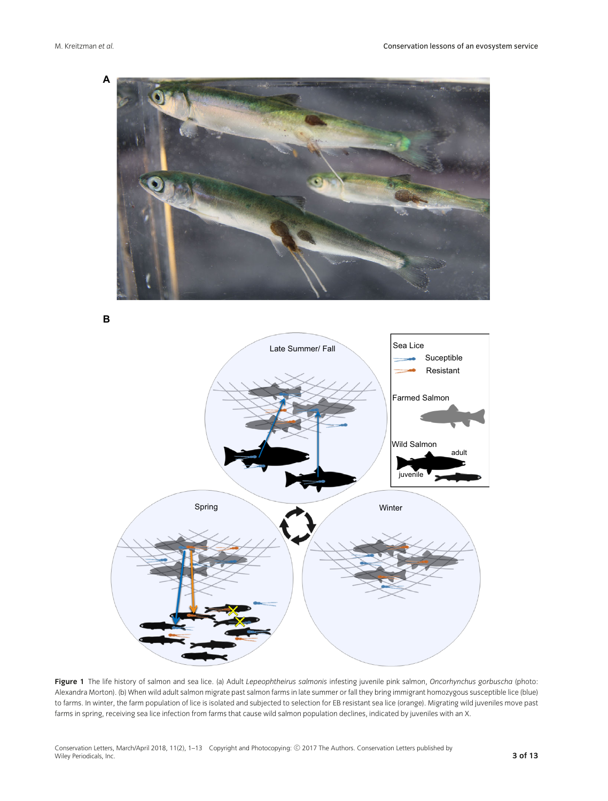

**B**



**Figure 1** The life history of salmon and sea lice. (a) Adult *Lepeophtheirus salmonis* infesting juvenile pink salmon, *Oncorhynchus gorbuscha* (photo: Alexandra Morton). (b) When wild adult salmon migrate past salmon farms in late summer or fall they bring immigrant homozygous susceptible lice (blue) to farms. In winter, the farm population of lice is isolated and subjected to selection for EB resistant sea lice (orange). Migrating wild juveniles move past farms in spring, receiving sea lice infection from farms that cause wild salmon population declines, indicated by juveniles with an X.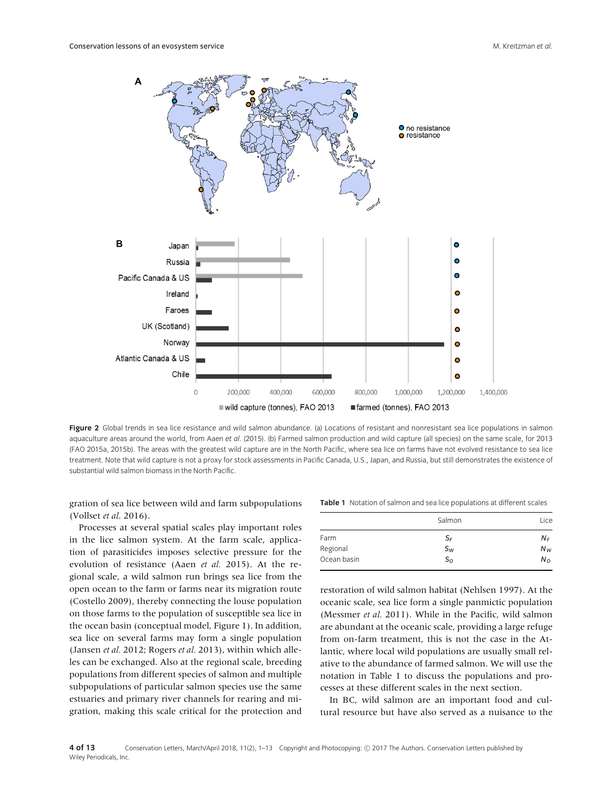

Figure 2 Global trends in sea lice resistance and wild salmon abundance. (a) Locations of resistant and nonresistant sea lice populations in salmon aquaculture areas around the world, from Aaen *et al.* (2015). (b) Farmed salmon production and wild capture (all species) on the same scale, for 2013 (FAO 2015a, 2015b). The areas with the greatest wild capture are in the North Pacific, where sea lice on farms have not evolved resistance to sea lice treatment. Note that wild capture is not a proxy for stock assessments in Pacific Canada, U.S., Japan, and Russia, but still demonstrates the existence of substantial wild salmon biomass in the North Pacific.

gration of sea lice between wild and farm subpopulations (Vollset *et al*. 2016).

Processes at several spatial scales play important roles in the lice salmon system. At the farm scale, application of parasiticides imposes selective pressure for the evolution of resistance (Aaen *et al.* 2015). At the regional scale, a wild salmon run brings sea lice from the open ocean to the farm or farms near its migration route (Costello 2009), thereby connecting the louse population on those farms to the population of susceptible sea lice in the ocean basin (conceptual model, Figure 1). In addition, sea lice on several farms may form a single population (Jansen *et al.* 2012; Rogers *et al.* 2013), within which alleles can be exchanged. Also at the regional scale, breeding populations from different species of salmon and multiple subpopulations of particular salmon species use the same estuaries and primary river channels for rearing and migration, making this scale critical for the protection and

|             | Salmon  | Lice           |
|-------------|---------|----------------|
| Farm        | $S_F$   | N <sub>F</sub> |
| Regional    | $S_W$   | N <sub>w</sub> |
| Ocean basin | $S_{O}$ | $N_O$          |

restoration of wild salmon habitat (Nehlsen 1997). At the oceanic scale, sea lice form a single panmictic population (Messmer *et al.* 2011). While in the Pacific, wild salmon are abundant at the oceanic scale, providing a large refuge from on-farm treatment, this is not the case in the Atlantic, where local wild populations are usually small relative to the abundance of farmed salmon. We will use the notation in Table 1 to discuss the populations and processes at these different scales in the next section.

In BC, wild salmon are an important food and cultural resource but have also served as a nuisance to the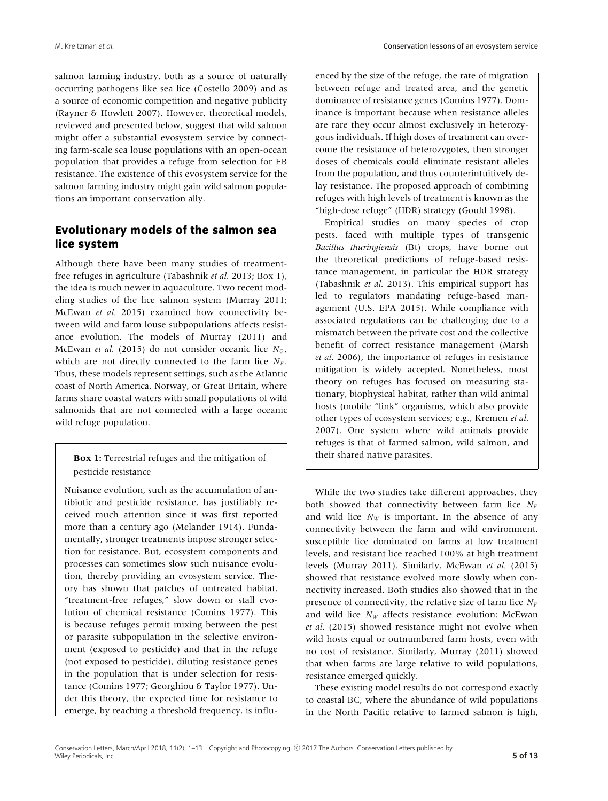salmon farming industry, both as a source of naturally occurring pathogens like sea lice (Costello 2009) and as a source of economic competition and negative publicity (Rayner & Howlett 2007). However, theoretical models, reviewed and presented below, suggest that wild salmon might offer a substantial evosystem service by connecting farm-scale sea louse populations with an open-ocean population that provides a refuge from selection for EB resistance. The existence of this evosystem service for the salmon farming industry might gain wild salmon populations an important conservation ally.

# **Evolutionary models of the salmon sea lice system**

Although there have been many studies of treatmentfree refuges in agriculture (Tabashnik *et al.* 2013; Box 1), the idea is much newer in aquaculture. Two recent modeling studies of the lice salmon system (Murray 2011; McEwan *et al.* 2015) examined how connectivity between wild and farm louse subpopulations affects resistance evolution. The models of Murray (2011) and McEwan *et al.* (2015) do not consider oceanic lice  $N_0$ , which are not directly connected to the farm lice  $N_F$ . Thus, these models represent settings, such as the Atlantic coast of North America, Norway, or Great Britain, where farms share coastal waters with small populations of wild salmonids that are not connected with a large oceanic wild refuge population.

### **Box 1:** Terrestrial refuges and the mitigation of pesticide resistance

Nuisance evolution, such as the accumulation of antibiotic and pesticide resistance, has justifiably received much attention since it was first reported more than a century ago (Melander 1914). Fundamentally, stronger treatments impose stronger selection for resistance. But, ecosystem components and processes can sometimes slow such nuisance evolution, thereby providing an evosystem service. Theory has shown that patches of untreated habitat, "treatment-free refuges," slow down or stall evolution of chemical resistance (Comins 1977). This is because refuges permit mixing between the pest or parasite subpopulation in the selective environment (exposed to pesticide) and that in the refuge (not exposed to pesticide), diluting resistance genes in the population that is under selection for resistance (Comins 1977; Georghiou & Taylor 1977). Under this theory, the expected time for resistance to emerge, by reaching a threshold frequency, is influenced by the size of the refuge, the rate of migration between refuge and treated area, and the genetic dominance of resistance genes (Comins 1977). Dominance is important because when resistance alleles are rare they occur almost exclusively in heterozygous individuals. If high doses of treatment can overcome the resistance of heterozygotes, then stronger doses of chemicals could eliminate resistant alleles from the population, and thus counterintuitively delay resistance. The proposed approach of combining refuges with high levels of treatment is known as the "high-dose refuge" (HDR) strategy (Gould 1998).

Empirical studies on many species of crop pests, faced with multiple types of transgenic *Bacillus thuringiensis* (Bt) crops, have borne out the theoretical predictions of refuge-based resistance management, in particular the HDR strategy (Tabashnik *et al.* 2013). This empirical support has led to regulators mandating refuge-based management (U.S. EPA 2015). While compliance with associated regulations can be challenging due to a mismatch between the private cost and the collective benefit of correct resistance management (Marsh *et al.* 2006), the importance of refuges in resistance mitigation is widely accepted. Nonetheless, most theory on refuges has focused on measuring stationary, biophysical habitat, rather than wild animal hosts (mobile "link" organisms, which also provide other types of ecosystem services; e.g., Kremen *et al.* 2007). One system where wild animals provide refuges is that of farmed salmon, wild salmon, and their shared native parasites.

While the two studies take different approaches, they both showed that connectivity between farm lice  $N_F$ and wild lice  $N_W$  is important. In the absence of any connectivity between the farm and wild environment, susceptible lice dominated on farms at low treatment levels, and resistant lice reached 100% at high treatment levels (Murray 2011). Similarly, McEwan *et al.* (2015) showed that resistance evolved more slowly when connectivity increased. Both studies also showed that in the presence of connectivity, the relative size of farm lice  $N_F$ and wild lice  $N_W$  affects resistance evolution: McEwan *et al.* (2015) showed resistance might not evolve when wild hosts equal or outnumbered farm hosts, even with no cost of resistance. Similarly, Murray (2011) showed that when farms are large relative to wild populations, resistance emerged quickly.

These existing model results do not correspond exactly to coastal BC, where the abundance of wild populations in the North Pacific relative to farmed salmon is high,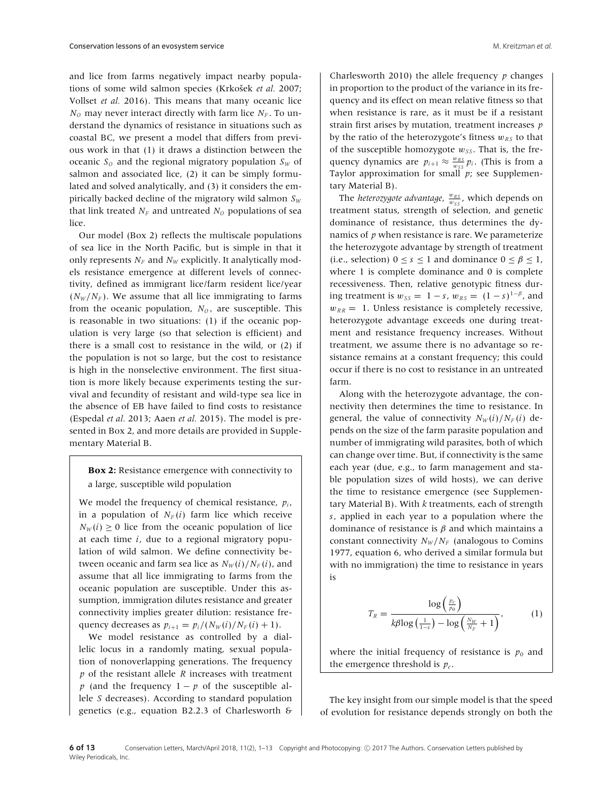and lice from farms negatively impact nearby populations of some wild salmon species (Krkošek et al. 2007; Vollset *et al.* 2016). This means that many oceanic lice  $N<sub>0</sub>$  may never interact directly with farm lice  $N<sub>F</sub>$ . To understand the dynamics of resistance in situations such as coastal BC, we present a model that differs from previous work in that (1) it draws a distinction between the oceanic  $S_0$  and the regional migratory population  $S_W$  of salmon and associated lice, (2) it can be simply formulated and solved analytically, and (3) it considers the empirically backed decline of the migratory wild salmon *SW* that link treated  $N_F$  and untreated  $N_O$  populations of sea lice.

Our model (Box 2) reflects the multiscale populations of sea lice in the North Pacific, but is simple in that it only represents  $N_F$  and  $N_W$  explicitly. It analytically models resistance emergence at different levels of connectivity, defined as immigrant lice/farm resident lice/year  $(N_W/N_F)$ . We assume that all lice immigrating to farms from the oceanic population,  $N<sub>0</sub>$ , are susceptible. This is reasonable in two situations: (1) if the oceanic population is very large (so that selection is efficient) and there is a small cost to resistance in the wild, or (2) if the population is not so large, but the cost to resistance is high in the nonselective environment. The first situation is more likely because experiments testing the survival and fecundity of resistant and wild-type sea lice in the absence of EB have failed to find costs to resistance (Espedal *et al.* 2013; Aaen *et al.* 2015). The model is presented in Box 2, and more details are provided in Supplementary Material B.

**Box 2:** Resistance emergence with connectivity to a large, susceptible wild population

We model the frequency of chemical resistance,  $p_i$ , in a population of  $N_F(i)$  farm lice which receive  $N_W(i) \geq 0$  lice from the oceanic population of lice at each time *i*, due to a regional migratory population of wild salmon. We define connectivity between oceanic and farm sea lice as  $N_W(i)/N_F(i)$ , and assume that all lice immigrating to farms from the oceanic population are susceptible. Under this assumption, immigration dilutes resistance and greater connectivity implies greater dilution: resistance frequency decreases as  $p_{i+1} = p_i/(N_W(i)/N_F(i) + 1)$ .

We model resistance as controlled by a diallelic locus in a randomly mating, sexual population of nonoverlapping generations. The frequency *p* of the resistant allele *R* increases with treatment *p* (and the frequency  $1 - p$  of the susceptible allele *S* decreases). According to standard population genetics (e.g., equation B2.2.3 of Charlesworth &

Charlesworth 2010) the allele frequency *p* changes in proportion to the product of the variance in its frequency and its effect on mean relative fitness so that when resistance is rare, as it must be if a resistant strain first arises by mutation, treatment increases *p* by the ratio of the heterozygote's fitness  $w_{RS}$  to that of the susceptible homozygote  $w_{SS}$ . That is, the frequency dynamics are  $p_{i+1} \approx \frac{w_{RS}}{w_{SS}} p_i$ . (This is from a

tary Material B). The *heterozygote advantage,*  $\frac{w_{RS}}{w_{SS}}$ , which depends on treatment status, strength of selection, and genetic dominance of resistance, thus determines the dynamics of *p* when resistance is rare. We parameterize the heterozygote advantage by strength of treatment (i.e., selection)  $0 \le s \le 1$  and dominance  $0 \le \beta \le 1$ , where 1 is complete dominance and 0 is complete recessiveness. Then, relative genotypic fitness during treatment is  $w_{SS} = 1 - s$ ,  $w_{RS} = (1 - s)^{1 - \beta}$ , and  $w_{RR} = 1$ . Unless resistance is completely recessive, heterozygote advantage exceeds one during treatment and resistance frequency increases. Without treatment, we assume there is no advantage so resistance remains at a constant frequency; this could occur if there is no cost to resistance in an untreated farm.

Taylor approximation for small  $p$ ; see Supplemen-

Along with the heterozygote advantage, the connectivity then determines the time to resistance. In general, the value of connectivity  $N_W(i)/N_F(i)$  depends on the size of the farm parasite population and number of immigrating wild parasites, both of which can change over time. But, if connectivity is the same each year (due, e.g., to farm management and stable population sizes of wild hosts), we can derive the time to resistance emergence (see Supplementary Material B). With *k* treatments, each of strength *s*, applied in each year to a population where the dominance of resistance is  $\beta$  and which maintains a constant connectivity  $N_W/N_F$  (analogous to Comins 1977, equation 6, who derived a similar formula but with no immigration) the time to resistance in years is

$$
T_R = \frac{\log\left(\frac{p_c}{p_0}\right)}{k\beta \log\left(\frac{1}{1-s}\right) - \log\left(\frac{N_W}{N_F} + 1\right)},\tag{1}
$$

where the initial frequency of resistance is  $p_0$  and the emergence threshold is *pe*.

The key insight from our simple model is that the speed of evolution for resistance depends strongly on both the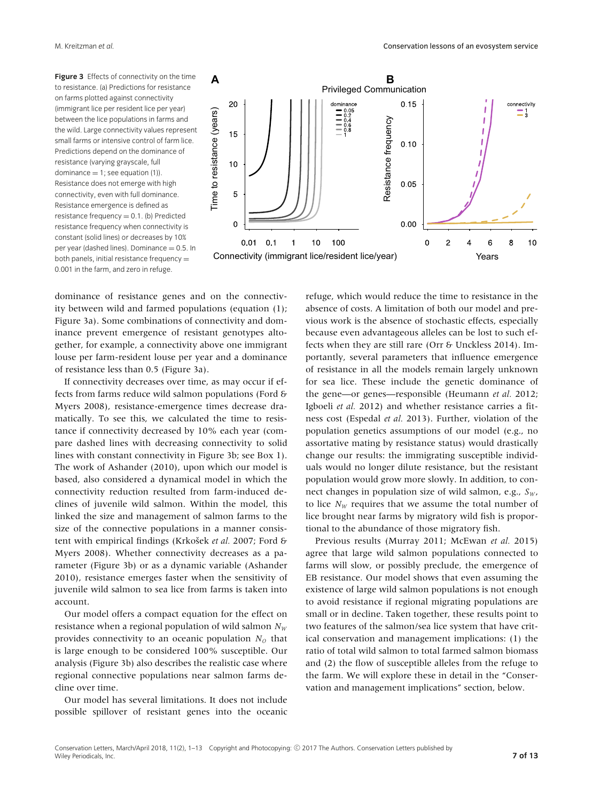to resistance. (a) Predictions for resistance on farms plotted against connectivity (immigrant lice per resident lice per year) between the lice populations in farms and the wild. Large connectivity values represent small farms or intensive control of farm lice. Predictions depend on the dominance of resistance (varying grayscale, full dominance  $= 1$ ; see equation (1)). Resistance does not emerge with high connectivity, even with full dominance. Resistance emergence is defined as resistance frequency  $= 0.1$ . (b) Predicted resistance frequency when connectivity is constant (solid lines) or decreases by 10% per year (dashed lines). Dominance  $= 0.5$ . In both panels, initial resistance frequency = 0.001 in the farm, and zero in refuge.



dominance of resistance genes and on the connectivity between wild and farmed populations (equation (1); Figure 3a). Some combinations of connectivity and dominance prevent emergence of resistant genotypes altogether, for example, a connectivity above one immigrant louse per farm-resident louse per year and a dominance of resistance less than 0.5 (Figure 3a).

If connectivity decreases over time, as may occur if effects from farms reduce wild salmon populations (Ford & Myers 2008), resistance-emergence times decrease dramatically. To see this, we calculated the time to resistance if connectivity decreased by 10% each year (compare dashed lines with decreasing connectivity to solid lines with constant connectivity in Figure 3b; see Box 1). The work of Ashander (2010), upon which our model is based, also considered a dynamical model in which the connectivity reduction resulted from farm-induced declines of juvenile wild salmon. Within the model, this linked the size and management of salmon farms to the size of the connective populations in a manner consistent with empirical findings (Krkošek et al. 2007; Ford & Myers 2008). Whether connectivity decreases as a parameter (Figure 3b) or as a dynamic variable (Ashander 2010), resistance emerges faster when the sensitivity of juvenile wild salmon to sea lice from farms is taken into account.

Our model offers a compact equation for the effect on resistance when a regional population of wild salmon  $N_W$ provides connectivity to an oceanic population  $N_0$  that is large enough to be considered 100% susceptible. Our analysis (Figure 3b) also describes the realistic case where regional connective populations near salmon farms decline over time.

Our model has several limitations. It does not include possible spillover of resistant genes into the oceanic

refuge, which would reduce the time to resistance in the absence of costs. A limitation of both our model and previous work is the absence of stochastic effects, especially because even advantageous alleles can be lost to such effects when they are still rare (Orr & Unckless 2014). Importantly, several parameters that influence emergence of resistance in all the models remain largely unknown for sea lice. These include the genetic dominance of the gene—or genes—responsible (Heumann *et al.* 2012; Igboeli *et al.* 2012) and whether resistance carries a fitness cost (Espedal *et al.* 2013). Further, violation of the population genetics assumptions of our model (e.g., no assortative mating by resistance status) would drastically change our results: the immigrating susceptible individuals would no longer dilute resistance, but the resistant population would grow more slowly. In addition, to connect changes in population size of wild salmon, e.g.,  $S_W$ , to lice  $N_W$  requires that we assume the total number of lice brought near farms by migratory wild fish is proportional to the abundance of those migratory fish.

Previous results (Murray 2011; McEwan *et al.* 2015) agree that large wild salmon populations connected to farms will slow, or possibly preclude, the emergence of EB resistance. Our model shows that even assuming the existence of large wild salmon populations is not enough to avoid resistance if regional migrating populations are small or in decline. Taken together, these results point to two features of the salmon/sea lice system that have critical conservation and management implications: (1) the ratio of total wild salmon to total farmed salmon biomass and (2) the flow of susceptible alleles from the refuge to the farm. We will explore these in detail in the "Conservation and management implications" section, below.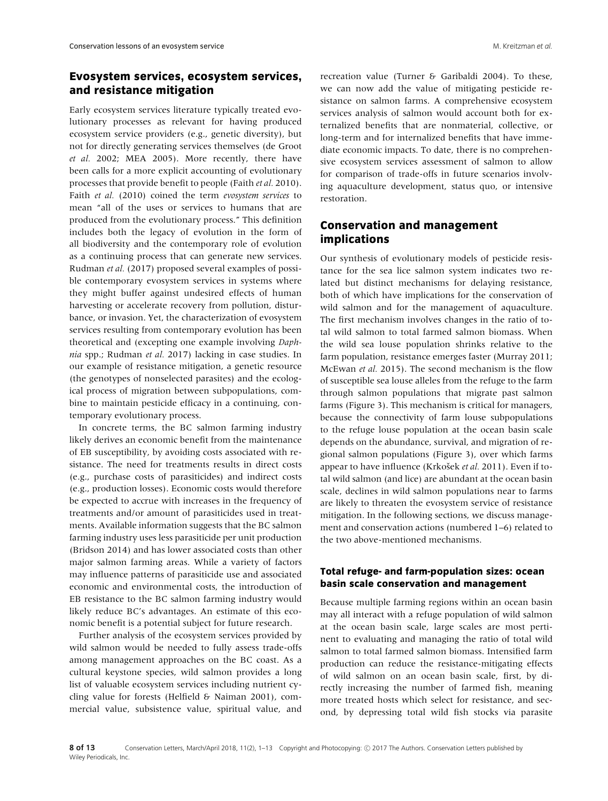# **Evosystem services, ecosystem services, and resistance mitigation**

Early ecosystem services literature typically treated evolutionary processes as relevant for having produced ecosystem service providers (e.g., genetic diversity), but not for directly generating services themselves (de Groot *et al.* 2002; MEA 2005). More recently, there have been calls for a more explicit accounting of evolutionary processes that provide benefit to people (Faith *et al.* 2010). Faith *et al.* (2010) coined the term *evosystem services* to mean "all of the uses or services to humans that are produced from the evolutionary process." This definition includes both the legacy of evolution in the form of all biodiversity and the contemporary role of evolution as a continuing process that can generate new services. Rudman *et al.* (2017) proposed several examples of possible contemporary evosystem services in systems where they might buffer against undesired effects of human harvesting or accelerate recovery from pollution, disturbance, or invasion. Yet, the characterization of evosystem services resulting from contemporary evolution has been theoretical and (excepting one example involving *Daphnia* spp.; Rudman *et al.* 2017) lacking in case studies. In our example of resistance mitigation, a genetic resource (the genotypes of nonselected parasites) and the ecological process of migration between subpopulations, combine to maintain pesticide efficacy in a continuing, contemporary evolutionary process.

In concrete terms, the BC salmon farming industry likely derives an economic benefit from the maintenance of EB susceptibility, by avoiding costs associated with resistance. The need for treatments results in direct costs (e.g., purchase costs of parasiticides) and indirect costs (e.g., production losses). Economic costs would therefore be expected to accrue with increases in the frequency of treatments and/or amount of parasiticides used in treatments. Available information suggests that the BC salmon farming industry uses less parasiticide per unit production (Bridson 2014) and has lower associated costs than other major salmon farming areas. While a variety of factors may influence patterns of parasiticide use and associated economic and environmental costs, the introduction of EB resistance to the BC salmon farming industry would likely reduce BC's advantages. An estimate of this economic benefit is a potential subject for future research.

Further analysis of the ecosystem services provided by wild salmon would be needed to fully assess trade-offs among management approaches on the BC coast. As a cultural keystone species, wild salmon provides a long list of valuable ecosystem services including nutrient cycling value for forests (Helfield & Naiman 2001), commercial value, subsistence value, spiritual value, and

recreation value (Turner & Garibaldi 2004). To these, we can now add the value of mitigating pesticide resistance on salmon farms. A comprehensive ecosystem services analysis of salmon would account both for externalized benefits that are nonmaterial, collective, or long-term and for internalized benefits that have immediate economic impacts. To date, there is no comprehensive ecosystem services assessment of salmon to allow for comparison of trade-offs in future scenarios involving aquaculture development, status quo, or intensive restoration.

# **Conservation and management implications**

Our synthesis of evolutionary models of pesticide resistance for the sea lice salmon system indicates two related but distinct mechanisms for delaying resistance, both of which have implications for the conservation of wild salmon and for the management of aquaculture. The first mechanism involves changes in the ratio of total wild salmon to total farmed salmon biomass. When the wild sea louse population shrinks relative to the farm population, resistance emerges faster (Murray 2011; McEwan *et al.* 2015). The second mechanism is the flow of susceptible sea louse alleles from the refuge to the farm through salmon populations that migrate past salmon farms (Figure 3). This mechanism is critical for managers, because the connectivity of farm louse subpopulations to the refuge louse population at the ocean basin scale depends on the abundance, survival, and migration of regional salmon populations (Figure 3), over which farms appear to have influence (Krkošek et al. 2011). Even if total wild salmon (and lice) are abundant at the ocean basin scale, declines in wild salmon populations near to farms are likely to threaten the evosystem service of resistance mitigation. In the following sections, we discuss management and conservation actions (numbered 1–6) related to the two above-mentioned mechanisms.

### **Total refuge- and farm-population sizes: ocean basin scale conservation and management**

Because multiple farming regions within an ocean basin may all interact with a refuge population of wild salmon at the ocean basin scale, large scales are most pertinent to evaluating and managing the ratio of total wild salmon to total farmed salmon biomass. Intensified farm production can reduce the resistance-mitigating effects of wild salmon on an ocean basin scale, first, by directly increasing the number of farmed fish, meaning more treated hosts which select for resistance, and second, by depressing total wild fish stocks via parasite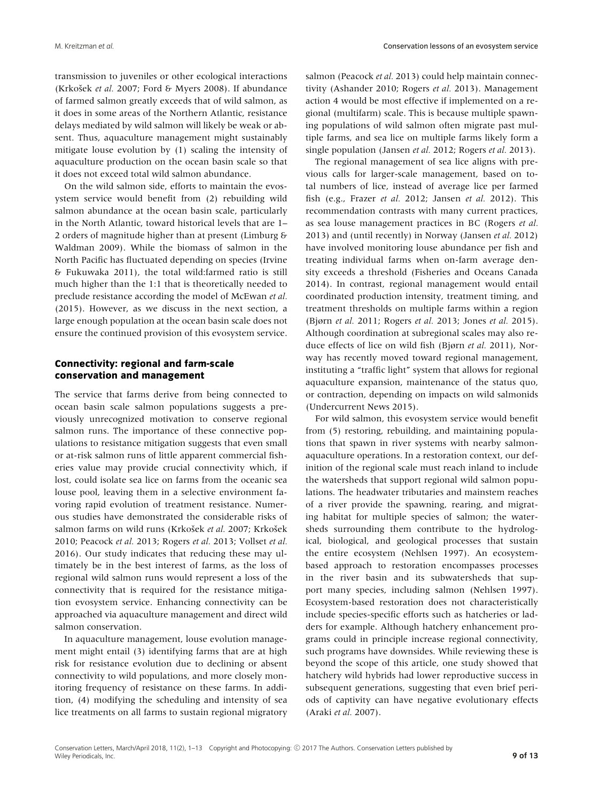transmission to juveniles or other ecological interactions (Krkošek et al. 2007; Ford & Myers 2008). If abundance of farmed salmon greatly exceeds that of wild salmon, as it does in some areas of the Northern Atlantic, resistance delays mediated by wild salmon will likely be weak or absent. Thus, aquaculture management might sustainably mitigate louse evolution by (1) scaling the intensity of aquaculture production on the ocean basin scale so that it does not exceed total wild salmon abundance.

On the wild salmon side, efforts to maintain the evosystem service would benefit from (2) rebuilding wild salmon abundance at the ocean basin scale, particularly in the North Atlantic, toward historical levels that are 1– 2 orders of magnitude higher than at present (Limburg & Waldman 2009). While the biomass of salmon in the North Pacific has fluctuated depending on species (Irvine & Fukuwaka 2011), the total wild:farmed ratio is still much higher than the 1:1 that is theoretically needed to preclude resistance according the model of McEwan *et al.* (2015). However, as we discuss in the next section, a large enough population at the ocean basin scale does not ensure the continued provision of this evosystem service.

### **Connectivity: regional and farm-scale conservation and management**

The service that farms derive from being connected to ocean basin scale salmon populations suggests a previously unrecognized motivation to conserve regional salmon runs. The importance of these connective populations to resistance mitigation suggests that even small or at-risk salmon runs of little apparent commercial fisheries value may provide crucial connectivity which, if lost, could isolate sea lice on farms from the oceanic sea louse pool, leaving them in a selective environment favoring rapid evolution of treatment resistance. Numerous studies have demonstrated the considerable risks of salmon farms on wild runs (Krkošek et al. 2007; Krkošek 2010; Peacock *et al.* 2013; Rogers *et al.* 2013; Vollset *et al.* 2016). Our study indicates that reducing these may ultimately be in the best interest of farms, as the loss of regional wild salmon runs would represent a loss of the connectivity that is required for the resistance mitigation evosystem service. Enhancing connectivity can be approached via aquaculture management and direct wild salmon conservation.

In aquaculture management, louse evolution management might entail (3) identifying farms that are at high risk for resistance evolution due to declining or absent connectivity to wild populations, and more closely monitoring frequency of resistance on these farms. In addition, (4) modifying the scheduling and intensity of sea lice treatments on all farms to sustain regional migratory salmon (Peacock *et al.* 2013) could help maintain connectivity (Ashander 2010; Rogers *et al.* 2013). Management action 4 would be most effective if implemented on a regional (multifarm) scale. This is because multiple spawning populations of wild salmon often migrate past multiple farms, and sea lice on multiple farms likely form a single population (Jansen *et al.* 2012; Rogers *et al.* 2013).

The regional management of sea lice aligns with previous calls for larger-scale management, based on total numbers of lice, instead of average lice per farmed fish (e.g., Frazer *et al.* 2012; Jansen *et al.* 2012). This recommendation contrasts with many current practices, as sea louse management practices in BC (Rogers *et al.* 2013) and (until recently) in Norway (Jansen *et al.* 2012) have involved monitoring louse abundance per fish and treating individual farms when on-farm average density exceeds a threshold (Fisheries and Oceans Canada 2014). In contrast, regional management would entail coordinated production intensity, treatment timing, and treatment thresholds on multiple farms within a region (Bjørn *et al.* 2011; Rogers *et al.* 2013; Jones *et al.* 2015). Although coordination at subregional scales may also reduce effects of lice on wild fish (Bjørn *et al.* 2011), Norway has recently moved toward regional management, instituting a "traffic light" system that allows for regional aquaculture expansion, maintenance of the status quo, or contraction, depending on impacts on wild salmonids (Undercurrent News 2015).

For wild salmon, this evosystem service would benefit from (5) restoring, rebuilding, and maintaining populations that spawn in river systems with nearby salmonaquaculture operations. In a restoration context, our definition of the regional scale must reach inland to include the watersheds that support regional wild salmon populations. The headwater tributaries and mainstem reaches of a river provide the spawning, rearing, and migrating habitat for multiple species of salmon; the watersheds surrounding them contribute to the hydrological, biological, and geological processes that sustain the entire ecosystem (Nehlsen 1997). An ecosystembased approach to restoration encompasses processes in the river basin and its subwatersheds that support many species, including salmon (Nehlsen 1997). Ecosystem-based restoration does not characteristically include species-specific efforts such as hatcheries or ladders for example. Although hatchery enhancement programs could in principle increase regional connectivity, such programs have downsides. While reviewing these is beyond the scope of this article, one study showed that hatchery wild hybrids had lower reproductive success in subsequent generations, suggesting that even brief periods of captivity can have negative evolutionary effects (Araki *et al.* 2007).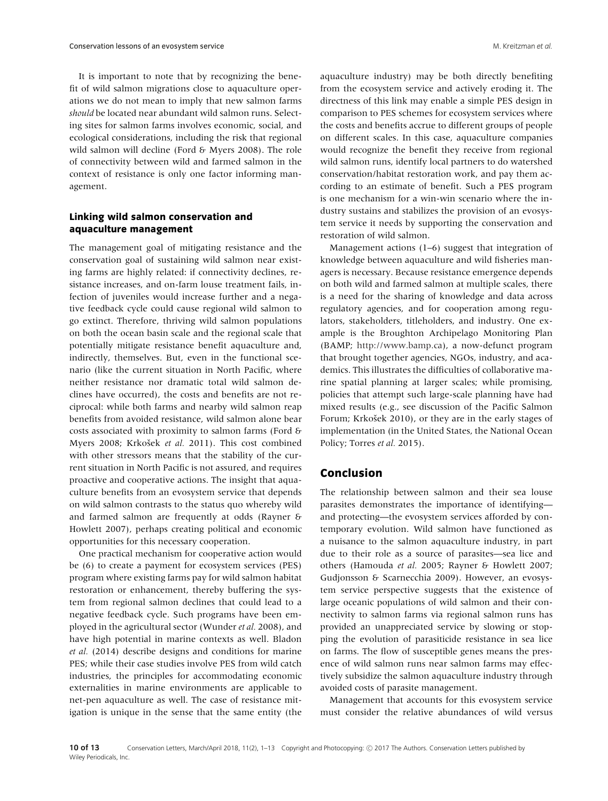It is important to note that by recognizing the benefit of wild salmon migrations close to aquaculture operations we do not mean to imply that new salmon farms *should* be located near abundant wild salmon runs. Selecting sites for salmon farms involves economic, social, and ecological considerations, including the risk that regional wild salmon will decline (Ford & Myers 2008). The role of connectivity between wild and farmed salmon in the context of resistance is only one factor informing management.

### **Linking wild salmon conservation and aquaculture management**

The management goal of mitigating resistance and the conservation goal of sustaining wild salmon near existing farms are highly related: if connectivity declines, resistance increases, and on-farm louse treatment fails, infection of juveniles would increase further and a negative feedback cycle could cause regional wild salmon to go extinct. Therefore, thriving wild salmon populations on both the ocean basin scale and the regional scale that potentially mitigate resistance benefit aquaculture and, indirectly, themselves. But, even in the functional scenario (like the current situation in North Pacific, where neither resistance nor dramatic total wild salmon declines have occurred), the costs and benefits are not reciprocal: while both farms and nearby wild salmon reap benefits from avoided resistance, wild salmon alone bear costs associated with proximity to salmon farms (Ford & Myers 2008; Krkošek et al. 2011). This cost combined with other stressors means that the stability of the current situation in North Pacific is not assured, and requires proactive and cooperative actions. The insight that aquaculture benefits from an evosystem service that depends on wild salmon contrasts to the status quo whereby wild and farmed salmon are frequently at odds (Rayner & Howlett 2007), perhaps creating political and economic opportunities for this necessary cooperation.

One practical mechanism for cooperative action would be (6) to create a payment for ecosystem services (PES) program where existing farms pay for wild salmon habitat restoration or enhancement, thereby buffering the system from regional salmon declines that could lead to a negative feedback cycle. Such programs have been employed in the agricultural sector (Wunder *et al.* 2008), and have high potential in marine contexts as well. Bladon *et al.* (2014) describe designs and conditions for marine PES; while their case studies involve PES from wild catch industries, the principles for accommodating economic externalities in marine environments are applicable to net-pen aquaculture as well. The case of resistance mitigation is unique in the sense that the same entity (the aquaculture industry) may be both directly benefiting from the ecosystem service and actively eroding it. The directness of this link may enable a simple PES design in comparison to PES schemes for ecosystem services where the costs and benefits accrue to different groups of people on different scales. In this case, aquaculture companies would recognize the benefit they receive from regional wild salmon runs, identify local partners to do watershed conservation/habitat restoration work, and pay them according to an estimate of benefit. Such a PES program is one mechanism for a win-win scenario where the industry sustains and stabilizes the provision of an evosystem service it needs by supporting the conservation and restoration of wild salmon.

Management actions (1–6) suggest that integration of knowledge between aquaculture and wild fisheries managers is necessary. Because resistance emergence depends on both wild and farmed salmon at multiple scales, there is a need for the sharing of knowledge and data across regulatory agencies, and for cooperation among regulators, stakeholders, titleholders, and industry. One example is the Broughton Archipelago Monitoring Plan (BAMP; [http://www.bamp.ca\)](http://www.bamp.ca), a now-defunct program that brought together agencies, NGOs, industry, and academics. This illustrates the difficulties of collaborative marine spatial planning at larger scales; while promising, policies that attempt such large-scale planning have had mixed results (e.g., see discussion of the Pacific Salmon Forum; Krkošek 2010), or they are in the early stages of implementation (in the United States, the National Ocean Policy; Torres *et al.* 2015).

## **Conclusion**

The relationship between salmon and their sea louse parasites demonstrates the importance of identifying and protecting—the evosystem services afforded by contemporary evolution. Wild salmon have functioned as a nuisance to the salmon aquaculture industry, in part due to their role as a source of parasites—sea lice and others (Hamouda *et al.* 2005; Rayner & Howlett 2007; Gudjonsson & Scarnecchia 2009). However, an evosystem service perspective suggests that the existence of large oceanic populations of wild salmon and their connectivity to salmon farms via regional salmon runs has provided an unappreciated service by slowing or stopping the evolution of parasiticide resistance in sea lice on farms. The flow of susceptible genes means the presence of wild salmon runs near salmon farms may effectively subsidize the salmon aquaculture industry through avoided costs of parasite management.

Management that accounts for this evosystem service must consider the relative abundances of wild versus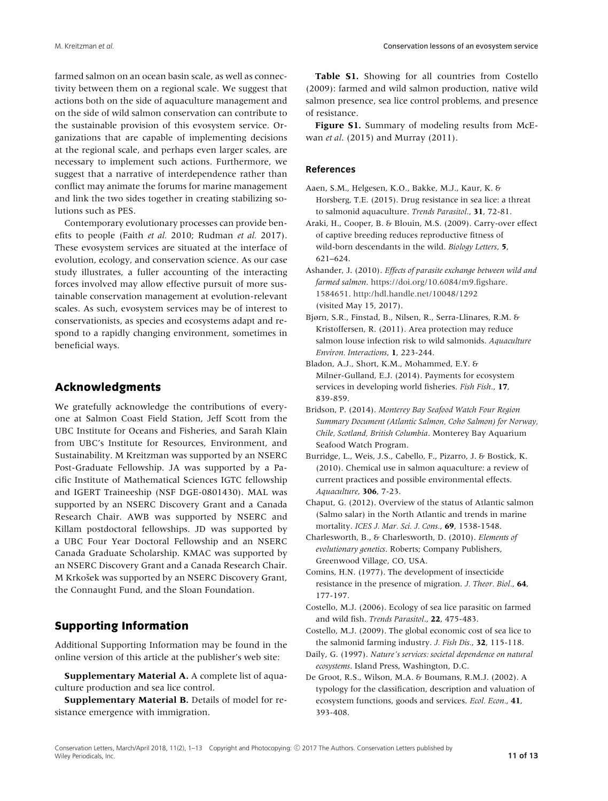M. Kreitzman *et al.* Conservation lessons of an evosystem service

farmed salmon on an ocean basin scale, as well as connectivity between them on a regional scale. We suggest that actions both on the side of aquaculture management and on the side of wild salmon conservation can contribute to the sustainable provision of this evosystem service. Organizations that are capable of implementing decisions at the regional scale, and perhaps even larger scales, are necessary to implement such actions. Furthermore, we suggest that a narrative of interdependence rather than conflict may animate the forums for marine management and link the two sides together in creating stabilizing solutions such as PES.

Contemporary evolutionary processes can provide benefits to people (Faith *et al.* 2010; Rudman *et al.* 2017). These evosystem services are situated at the interface of evolution, ecology, and conservation science. As our case study illustrates, a fuller accounting of the interacting forces involved may allow effective pursuit of more sustainable conservation management at evolution-relevant scales. As such, evosystem services may be of interest to conservationists, as species and ecosystems adapt and respond to a rapidly changing environment, sometimes in beneficial ways.

### **Acknowledgments**

We gratefully acknowledge the contributions of everyone at Salmon Coast Field Station, Jeff Scott from the UBC Institute for Oceans and Fisheries, and Sarah Klain from UBC's Institute for Resources, Environment, and Sustainability. M Kreitzman was supported by an NSERC Post-Graduate Fellowship. JA was supported by a Pacific Institute of Mathematical Sciences IGTC fellowship and IGERT Traineeship (NSF DGE-0801430). MAL was supported by an NSERC Discovery Grant and a Canada Research Chair. AWB was supported by NSERC and Killam postdoctoral fellowships. JD was supported by a UBC Four Year Doctoral Fellowship and an NSERC Canada Graduate Scholarship. KMAC was supported by an NSERC Discovery Grant and a Canada Research Chair. M Krkošek was supported by an NSERC Discovery Grant, the Connaught Fund, and the Sloan Foundation.

# **Supporting Information**

Additional Supporting Information may be found in the online version of this article at the publisher's web site:

**Supplementary Material A.** A complete list of aquaculture production and sea lice control.

**Supplementary Material B.** Details of model for resistance emergence with immigration.

**Table S1.** Showing for all countries from Costello (2009): farmed and wild salmon production, native wild salmon presence, sea lice control problems, and presence of resistance.

Figure S1. Summary of modeling results from McEwan *et al*. (2015) and Murray (2011).

#### **References**

- Aaen, S.M., Helgesen, K.O., Bakke, M.J., Kaur, K. & Horsberg, T.E. (2015). Drug resistance in sea lice: a threat to salmonid aquaculture. *Trends Parasitol*., **31**, 72-81.
- Araki, H., Cooper, B. & Blouin, M.S. (2009). Carry-over effect of captive breeding reduces reproductive fitness of wild-born descendants in the wild. *Biology Letters*, **5**, 621–624.
- Ashander, J. (2010). *Effects of parasite exchange between wild and farmed salmon*. [https://doi.org/10.6084/m9.figshare.](https://doi.org/10.6084/m9.figshare.1584651) 1584651. [http:/hdl.handle.net/10048/1292](http://hdl.handle.net/10048/1292) (visited May 15, 2017).
- Bjørn, S.R., Finstad, B., Nilsen, R., Serra-Llinares, R.M. & Kristoffersen, R. (2011). Area protection may reduce salmon louse infection risk to wild salmonids. *Aquaculture Environ. Interactions*, **1**, 223-244.
- Bladon, A.J., Short, K.M., Mohammed, E.Y. & Milner-Gulland, E.J. (2014). Payments for ecosystem services in developing world fisheries. *Fish Fish*., **17**, 839-859.
- Bridson, P. (2014). *Monterey Bay Seafood Watch Four Region Summary Document (Atlantic Salmon, Coho Salmon) for Norway, Chile, Scotland, British Columbia*. Monterey Bay Aquarium Seafood Watch Program.
- Burridge, L., Weis, J.S., Cabello, F., Pizarro, J. & Bostick, K. (2010). Chemical use in salmon aquaculture: a review of current practices and possible environmental effects. *Aquaculture*, **306**, 7-23.
- Chaput, G. (2012). Overview of the status of Atlantic salmon (Salmo salar) in the North Atlantic and trends in marine mortality. *ICES J. Mar. Sci. J. Cons.*, **69**, 1538-1548.
- Charlesworth, B., & Charlesworth, D. (2010). *Elements of evolutionary genetics*. Roberts; Company Publishers, Greenwood Village, CO, USA.
- Comins, H.N. (1977). The development of insecticide resistance in the presence of migration. *J. Theor. Biol.*, **64**, 177-197.
- Costello, M.J. (2006). Ecology of sea lice parasitic on farmed and wild fish. *Trends Parasitol*., **22**, 475-483.
- Costello, M.J. (2009). The global economic cost of sea lice to the salmonid farming industry. *J. Fish Dis.*, **32**, 115-118.
- Daily, G. (1997). *Nature's services: societal dependence on natural ecosystems*. Island Press, Washington, D.C.
- De Groot, R.S., Wilson, M.A. & Boumans, R.M.J. (2002). A typology for the classification, description and valuation of ecosystem functions, goods and services. *Ecol. Econ.*, **41**, 393-408.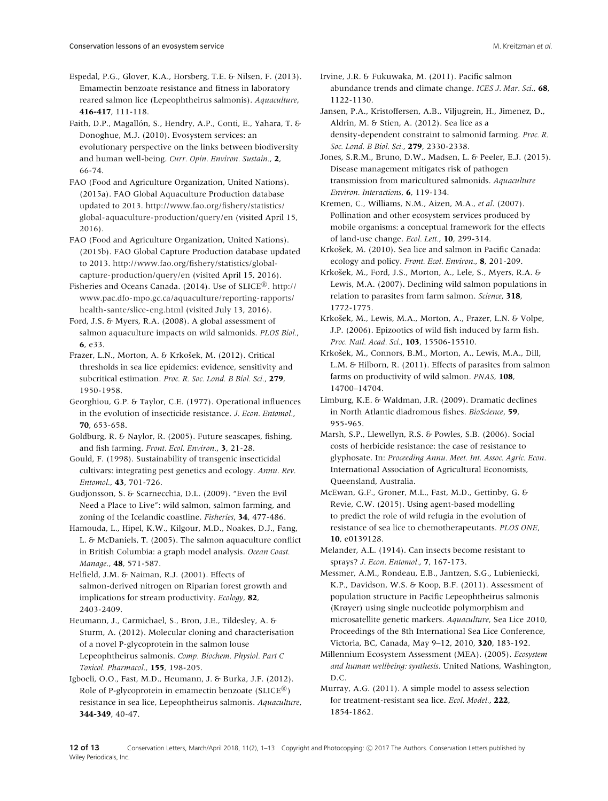Espedal, P.G., Glover, K.A., Horsberg, T.E. & Nilsen, F. (2013). Emamectin benzoate resistance and fitness in laboratory reared salmon lice (Lepeophtheirus salmonis). *Aquaculture*, **416-417**, 111-118.

Faith, D.P., Magallón, S., Hendry, A.P., Conti, E., Yahara, T. & Donoghue, M.J. (2010). Evosystem services: an evolutionary perspective on the links between biodiversity and human well-being. *Curr. Opin. Environ. Sustain.*, **2**, 66-74.

FAO (Food and Agriculture Organization, United Nations). (2015a). FAO Global Aquaculture Production database updated to 2013. http://www.fao.org/fishery/statistics/ [global-aquaculture-production/query/en](http://www.fao.org/fishery/statistics/global-aquaculture-production/query/en) (visited April 15, 2016).

FAO (Food and Agriculture Organization, United Nations). (2015b). FAO Global Capture Production database updated to 2013. [http://www.fao.org/fishery/statistics/global](http://www.fao.org/fishery/statistics/global-capture-production/query/en)capture-production/query/en (visited April 15, 2016).

Fisheries and Oceans Canada. (2014). Use of SLICE<sup>®</sup>. http:// [www.pac.dfo-mpo.gc.ca/aquaculture/reporting-rapports/](http://www.pac.dfo-mpo.gc.ca/aquaculture/reporting-rapports/health-sante/slice-eng.html) health-sante/slice-eng.html (visited July 13, 2016).

Ford, J.S. & Myers, R.A. (2008). A global assessment of salmon aquaculture impacts on wild salmonids. *PLOS Biol.*, **6**, e33.

Frazer, L.N., Morton, A. & Krkošek, M. (2012). Critical thresholds in sea lice epidemics: evidence, sensitivity and subcritical estimation. *Proc. R. Soc. Lond. B Biol. Sci.*, **279**, 1950-1958.

Georghiou, G.P. & Taylor, C.E. (1977). Operational influences in the evolution of insecticide resistance. *J. Econ. Entomol.*, **70**, 653-658.

Goldburg, R. & Naylor, R. (2005). Future seascapes, fishing, and fish farming. *Front. Ecol. Environ.*, **3**, 21-28.

Gould, F. (1998). Sustainability of transgenic insecticidal cultivars: integrating pest genetics and ecology. *Annu. Rev. Entomol.*, **43**, 701-726.

Gudjonsson, S. & Scarnecchia, D.L. (2009). "Even the Evil Need a Place to Live": wild salmon, salmon farming, and zoning of the Icelandic coastline. *Fisheries*, **34**, 477-486.

Hamouda, L., Hipel, K.W., Kilgour, M.D., Noakes, D.J., Fang, L. & McDaniels, T. (2005). The salmon aquaculture conflict in British Columbia: a graph model analysis. *Ocean Coast. Manage.*, **48**, 571-587.

Helfield, J.M. & Naiman, R.J. (2001). Effects of salmon-derived nitrogen on Riparian forest growth and implications for stream productivity. *Ecology*, **82**, 2403-2409.

Heumann, J., Carmichael, S., Bron, J.E., Tildesley, A. & Sturm, A. (2012). Molecular cloning and characterisation of a novel P-glycoprotein in the salmon louse Lepeophtheirus salmonis. *Comp. Biochem. Physiol. Part C Toxicol. Pharmacol.*, **155**, 198-205.

Igboeli, O.O., Fast, M.D., Heumann, J. & Burka, J.F. (2012). Role of P-glycoprotein in emamectin benzoate ( $SLICE^{(8)}$ ) resistance in sea lice, Lepeophtheirus salmonis. *Aquaculture*, **344-349**, 40-47.

Irvine, J.R. & Fukuwaka, M. (2011). Pacific salmon abundance trends and climate change. *ICES J. Mar. Sci.*, **68**, 1122-1130.

Jansen, P.A., Kristoffersen, A.B., Viljugrein, H., Jimenez, D., Aldrin, M. & Stien, A. (2012). Sea lice as a density-dependent constraint to salmonid farming. *Proc. R. Soc. Lond. B Biol. Sci.*, **279**, 2330-2338.

Jones, S.R.M., Bruno, D.W., Madsen, L. & Peeler, E.J. (2015). Disease management mitigates risk of pathogen transmission from maricultured salmonids. *Aquaculture Environ. Interactions*, **6**, 119-134.

Kremen, C., Williams, N.M., Aizen, M.A., *et al*. (2007). Pollination and other ecosystem services produced by mobile organisms: a conceptual framework for the effects of land-use change. *Ecol. Lett.*, **10**, 299-314.

Krkošek, M. (2010). Sea lice and salmon in Pacific Canada: ecology and policy. *Front. Ecol. Environ.*, **8**, 201-209.

Krkošek, M., Ford, J.S., Morton, A., Lele, S., Myers, R.A. & Lewis, M.A. (2007). Declining wild salmon populations in relation to parasites from farm salmon. *Science*, **318**, 1772-1775.

Krkošek, M., Lewis, M.A., Morton, A., Frazer, L.N. & Volpe, J.P. (2006). Epizootics of wild fish induced by farm fish. *Proc. Natl. Acad. Sci.*, **103**, 15506-15510.

Krkošek, M., Connors, B.M., Morton, A., Lewis, M.A., Dill, L.M. & Hilborn, R. (2011). Effects of parasites from salmon farms on productivity of wild salmon. *PNAS*, **108**, 14700–14704.

Limburg, K.E. & Waldman, J.R. (2009). Dramatic declines in North Atlantic diadromous fishes. *BioScience*, **59**, 955-965.

Marsh, S.P., Llewellyn, R.S. & Powles, S.B. (2006). Social costs of herbicide resistance: the case of resistance to glyphosate. In: *Proceeding Annu. Meet. Int. Assoc. Agric. Econ*. International Association of Agricultural Economists, Queensland, Australia.

McEwan, G.F., Groner, M.L., Fast, M.D., Gettinby, G. & Revie, C.W. (2015). Using agent-based modelling to predict the role of wild refugia in the evolution of resistance of sea lice to chemotherapeutants. *PLOS ONE*, **10**, e0139128.

Melander, A.L. (1914). Can insects become resistant to sprays? *J. Econ. Entomol.*, **7**, 167-173.

Messmer, A.M., Rondeau, E.B., Jantzen, S.G., Lubieniecki, K.P., Davidson, W.S. & Koop, B.F. (2011). Assessment of population structure in Pacific Lepeophtheirus salmonis (Krøyer) using single nucleotide polymorphism and microsatellite genetic markers. *Aquaculture*, Sea Lice 2010, Proceedings of the 8th International Sea Lice Conference, Victoria, BC, Canada, May 9–12, 2010, **320**, 183-192.

Millennium Ecosystem Assessment (MEA). (2005). *Ecosystem and human wellbeing: synthesis*. United Nations, Washington, D.C.

Murray, A.G. (2011). A simple model to assess selection for treatment-resistant sea lice. *Ecol. Model.*, **222**, 1854-1862.